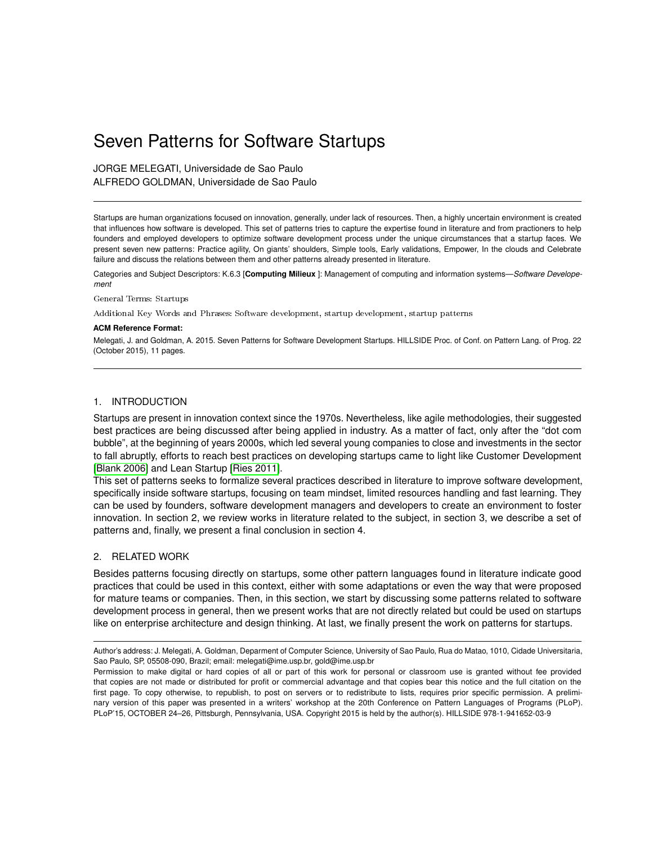# Seven Patterns for Software Startups

JORGE MELEGATI, Universidade de Sao Paulo ALFREDO GOLDMAN, Universidade de Sao Paulo

Startups are human organizations focused on innovation, generally, under lack of resources. Then, a highly uncertain environment is created that influences how software is developed. This set of patterns tries to capture the expertise found in literature and from practioners to help founders and employed developers to optimize software development process under the unique circumstances that a startup faces. We present seven new patterns: Practice agility, On giants' shoulders, Simple tools, Early validations, Empower, In the clouds and Celebrate failure and discuss the relations between them and other patterns already presented in literature.

Categories and Subject Descriptors: K.6.3 [**Computing Milieux** ]: Management of computing and information systems—*Software Developement*

General Terms: Startups

Additional Key Words and Phrases: Software development, startup development, startup patterns

#### **ACM Reference Format:**

Melegati, J. and Goldman, A. 2015. Seven Patterns for Software Development Startups. HILLSIDE Proc. of Conf. on Pattern Lang. of Prog. 22 (October 2015), 11 pages.

### 1. INTRODUCTION

Startups are present in innovation context since the 1970s. Nevertheless, like agile methodologies, their suggested best practices are being discussed after being applied in industry. As a matter of fact, only after the "dot com bubble", at the beginning of years 2000s, which led several young companies to close and investments in the sector to fall abruptly, efforts to reach best practices on developing startups came to light like Customer Development [\[Blank 2006\]](#page-10-0) and Lean Startup [\[Ries 2011\]](#page-10-1).

This set of patterns seeks to formalize several practices described in literature to improve software development, specifically inside software startups, focusing on team mindset, limited resources handling and fast learning. They can be used by founders, software development managers and developers to create an environment to foster innovation. In section 2, we review works in literature related to the subject, in section 3, we describe a set of patterns and, finally, we present a final conclusion in section 4.

### 2. RELATED WORK

Besides patterns focusing directly on startups, some other pattern languages found in literature indicate good practices that could be used in this context, either with some adaptations or even the way that were proposed for mature teams or companies. Then, in this section, we start by discussing some patterns related to software development process in general, then we present works that are not directly related but could be used on startups like on enterprise architecture and design thinking. At last, we finally present the work on patterns for startups.

Author's address: J. Melegati, A. Goldman, Deparment of Computer Science, University of Sao Paulo, Rua do Matao, 1010, Cidade Universitaria, Sao Paulo, SP, 05508-090, Brazil; email: melegati@ime.usp.br, gold@ime.usp.br

Permission to make digital or hard copies of all or part of this work for personal or classroom use is granted without fee provided that copies are not made or distributed for profit or commercial advantage and that copies bear this notice and the full citation on the first page. To copy otherwise, to republish, to post on servers or to redistribute to lists, requires prior specific permission. A preliminary version of this paper was presented in a writers' workshop at the 20th Conference on Pattern Languages of Programs (PLoP). PLoP'15, OCTOBER 24–26, Pittsburgh, Pennsylvania, USA. Copyright 2015 is held by the author(s). HILLSIDE 978-1-941652-03-9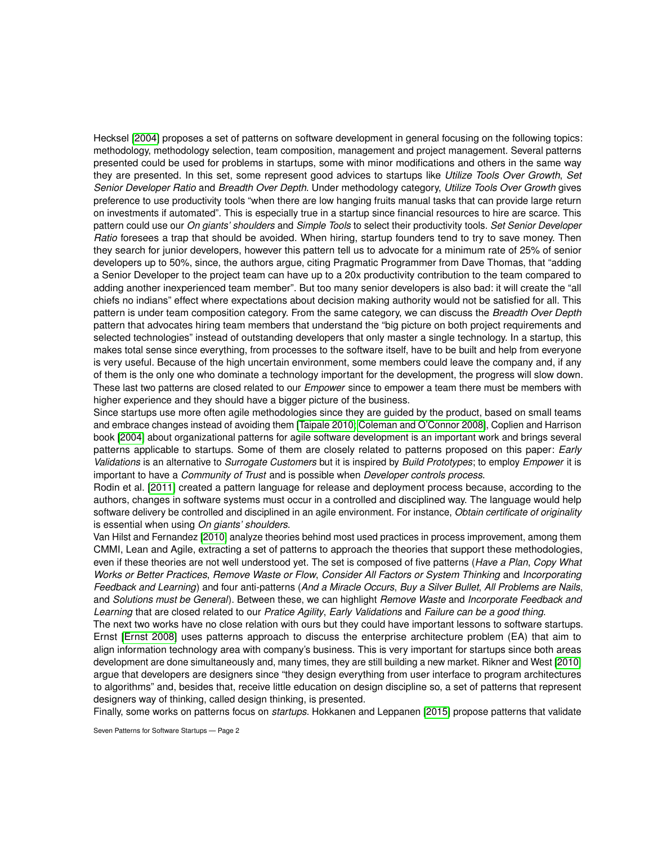Hecksel [\[2004\]](#page-10-2) proposes a set of patterns on software development in general focusing on the following topics: methodology, methodology selection, team composition, management and project management. Several patterns presented could be used for problems in startups, some with minor modifications and others in the same way they are presented. In this set, some represent good advices to startups like *Utilize Tools Over Growth*, *Set Senior Developer Ratio* and *Breadth Over Depth*. Under methodology category, *Utilize Tools Over Growth* gives preference to use productivity tools "when there are low hanging fruits manual tasks that can provide large return on investments if automated". This is especially true in a startup since financial resources to hire are scarce. This pattern could use our *On giants' shoulders* and *Simple Tools* to select their productivity tools. *Set Senior Developer Ratio* foresees a trap that should be avoided. When hiring, startup founders tend to try to save money. Then they search for junior developers, however this pattern tell us to advocate for a minimum rate of 25% of senior developers up to 50%, since, the authors argue, citing Pragmatic Programmer from Dave Thomas, that "adding a Senior Developer to the project team can have up to a 20x productivity contribution to the team compared to adding another inexperienced team member". But too many senior developers is also bad: it will create the "all chiefs no indians" effect where expectations about decision making authority would not be satisfied for all. This pattern is under team composition category. From the same category, we can discuss the *Breadth Over Depth* pattern that advocates hiring team members that understand the "big picture on both project requirements and selected technologies" instead of outstanding developers that only master a single technology. In a startup, this makes total sense since everything, from processes to the software itself, have to be built and help from everyone is very useful. Because of the high uncertain environment, some members could leave the company and, if any of them is the only one who dominate a technology important for the development, the progress will slow down. These last two patterns are closed related to our *Empower* since to empower a team there must be members with higher experience and they should have a bigger picture of the business.

Since startups use more often agile methodologies since they are guided by the product, based on small teams and embrace changes instead of avoiding them [\[Taipale 2010;](#page-10-3) [Coleman and O'Connor 2008\]](#page-10-4), Coplien and Harrison book [\[2004\]](#page-10-5) about organizational patterns for agile software development is an important work and brings several patterns applicable to startups. Some of them are closely related to patterns proposed on this paper: *Early Validations* is an alternative to *Surrogate Customers* but it is inspired by *Build Prototypes*; to employ *Empower* it is important to have a *Community of Trust* and is possible when *Developer controls process*.

Rodin et al. [\[2011\]](#page-10-6) created a pattern language for release and deployment process because, according to the authors, changes in software systems must occur in a controlled and disciplined way. The language would help software delivery be controlled and disciplined in an agile environment. For instance, *Obtain certificate of originality* is essential when using *On giants' shoulders*.

Van Hilst and Fernandez [\[2010\]](#page-10-7) analyze theories behind most used practices in process improvement, among them CMMI, Lean and Agile, extracting a set of patterns to approach the theories that support these methodologies, even if these theories are not well understood yet. The set is composed of five patterns (*Have a Plan*, *Copy What Works or Better Practices*, *Remove Waste or Flow*, *Consider All Factors or System Thinking* and *Incorporating Feedback and Learning*) and four anti-patterns (*And a Miracle Occurs*, *Buy a Silver Bullet*, *All Problems are Nails*, and *Solutions must be General*). Between these, we can highlight *Remove Waste* and *Incorporate Feedback and Learning* that are closed related to our *Pratice Agility*, *Early Validations* and *Failure can be a good thing*.

The next two works have no close relation with ours but they could have important lessons to software startups. Ernst [\[Ernst 2008\]](#page-10-8) uses patterns approach to discuss the enterprise architecture problem (EA) that aim to align information technology area with company's business. This is very important for startups since both areas development are done simultaneously and, many times, they are still building a new market. Rikner and West [\[2010\]](#page-10-9) argue that developers are designers since "they design everything from user interface to program architectures to algorithms" and, besides that, receive little education on design discipline so, a set of patterns that represent designers way of thinking, called design thinking, is presented.

Finally, some works on patterns focus on *startups*. Hokkanen and Leppanen [\[2015\]](#page-10-10) propose patterns that validate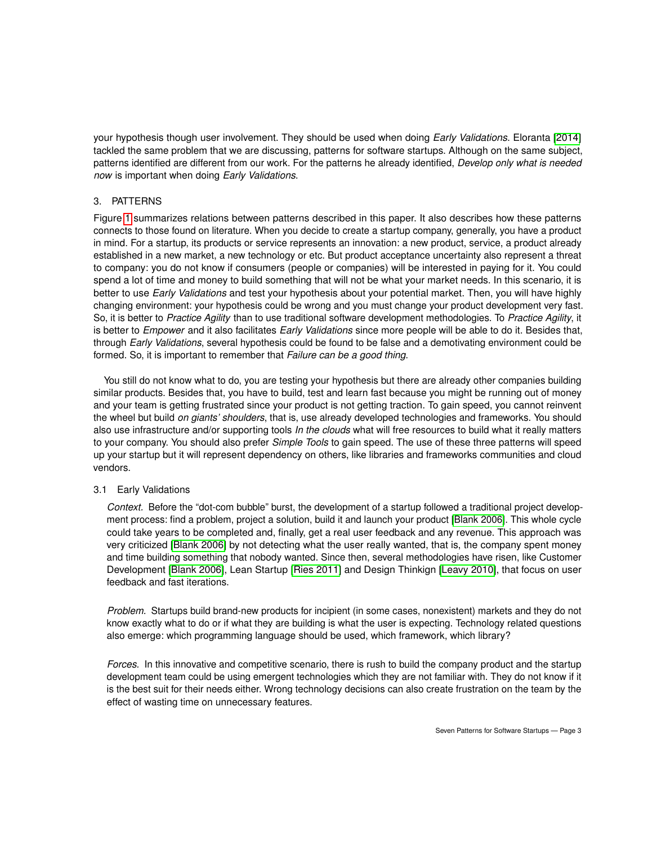your hypothesis though user involvement. They should be used when doing *Early Validations*. Eloranta [\[2014\]](#page-10-11) tackled the same problem that we are discussing, patterns for software startups. Although on the same subject, patterns identified are different from our work. For the patterns he already identified, *Develop only what is needed now* is important when doing *Early Validations*.

## 3. PATTERNS

Figure [1](#page-3-0) summarizes relations between patterns described in this paper. It also describes how these patterns connects to those found on literature. When you decide to create a startup company, generally, you have a product in mind. For a startup, its products or service represents an innovation: a new product, service, a product already established in a new market, a new technology or etc. But product acceptance uncertainty also represent a threat to company: you do not know if consumers (people or companies) will be interested in paying for it. You could spend a lot of time and money to build something that will not be what your market needs. In this scenario, it is better to use *Early Validations* and test your hypothesis about your potential market. Then, you will have highly changing environment: your hypothesis could be wrong and you must change your product development very fast. So, it is better to *Practice Agility* than to use traditional software development methodologies. To *Practice Agility*, it is better to *Empower* and it also facilitates *Early Validations* since more people will be able to do it. Besides that, through *Early Validations*, several hypothesis could be found to be false and a demotivating environment could be formed. So, it is important to remember that *Failure can be a good thing*.

You still do not know what to do, you are testing your hypothesis but there are already other companies building similar products. Besides that, you have to build, test and learn fast because you might be running out of money and your team is getting frustrated since your product is not getting traction. To gain speed, you cannot reinvent the wheel but build *on giants' shoulders*, that is, use already developed technologies and frameworks. You should also use infrastructure and/or supporting tools *In the clouds* what will free resources to build what it really matters to your company. You should also prefer *Simple Tools* to gain speed. The use of these three patterns will speed up your startup but it will represent dependency on others, like libraries and frameworks communities and cloud vendors.

## 3.1 Early Validations

*Context.* Before the "dot-com bubble" burst, the development of a startup followed a traditional project development process: find a problem, project a solution, build it and launch your product [\[Blank 2006\]](#page-10-0). This whole cycle could take years to be completed and, finally, get a real user feedback and any revenue. This approach was very criticized [\[Blank 2006\]](#page-10-0) by not detecting what the user really wanted, that is, the company spent money and time building something that nobody wanted. Since then, several methodologies have risen, like Customer Development [\[Blank 2006\]](#page-10-0), Lean Startup [\[Ries 2011\]](#page-10-1) and Design Thinkign [\[Leavy 2010\]](#page-10-12), that focus on user feedback and fast iterations.

*Problem.* Startups build brand-new products for incipient (in some cases, nonexistent) markets and they do not know exactly what to do or if what they are building is what the user is expecting. Technology related questions also emerge: which programming language should be used, which framework, which library?

*Forces.* In this innovative and competitive scenario, there is rush to build the company product and the startup development team could be using emergent technologies which they are not familiar with. They do not know if it is the best suit for their needs either. Wrong technology decisions can also create frustration on the team by the effect of wasting time on unnecessary features.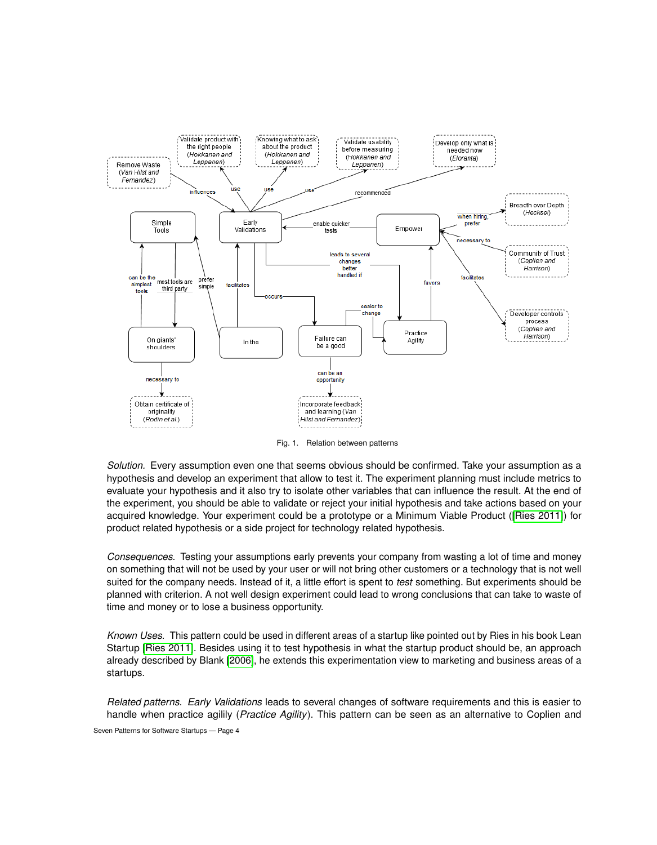

<span id="page-3-0"></span>Fig. 1. Relation between patterns

*Solution.* Every assumption even one that seems obvious should be confirmed. Take your assumption as a hypothesis and develop an experiment that allow to test it. The experiment planning must include metrics to evaluate your hypothesis and it also try to isolate other variables that can influence the result. At the end of the experiment, you should be able to validate or reject your initial hypothesis and take actions based on your acquired knowledge. Your experiment could be a prototype or a Minimum Viable Product ([\[Ries 2011\]](#page-10-1)) for product related hypothesis or a side project for technology related hypothesis.

*Consequences.* Testing your assumptions early prevents your company from wasting a lot of time and money on something that will not be used by your user or will not bring other customers or a technology that is not well suited for the company needs. Instead of it, a little effort is spent to *test* something. But experiments should be planned with criterion. A not well design experiment could lead to wrong conclusions that can take to waste of time and money or to lose a business opportunity.

*Known Uses.* This pattern could be used in different areas of a startup like pointed out by Ries in his book Lean Startup [\[Ries 2011\]](#page-10-1). Besides using it to test hypothesis in what the startup product should be, an approach already described by Blank [\[2006\]](#page-10-0), he extends this experimentation view to marketing and business areas of a startups.

*Related patterns. Early Validations* leads to several changes of software requirements and this is easier to handle when practice agilily (*Practice Agility*). This pattern can be seen as an alternative to Coplien and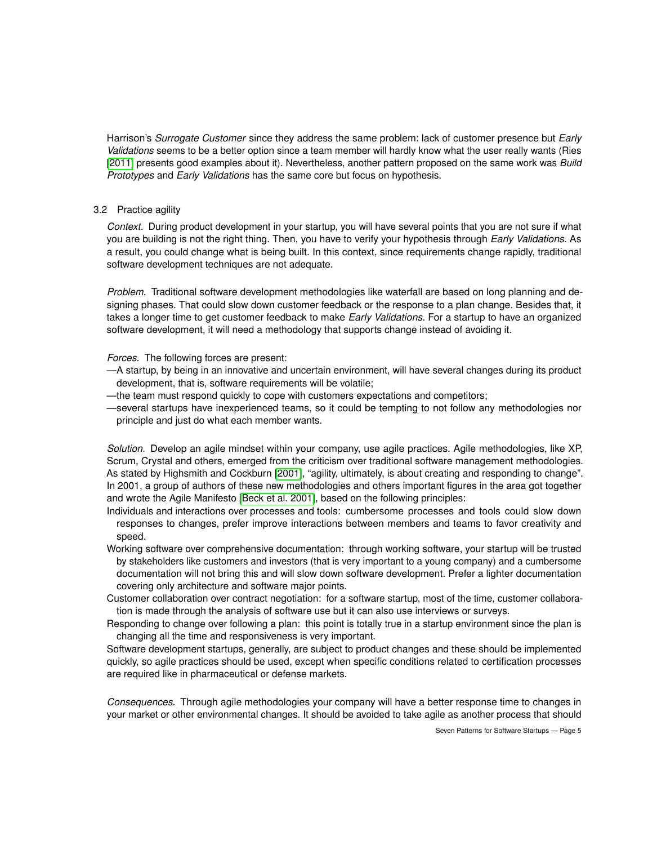Harrison's *Surrogate Customer* since they address the same problem: lack of customer presence but *Early Validations* seems to be a better option since a team member will hardly know what the user really wants (Ries [\[2011\]](#page-10-1) presents good examples about it). Nevertheless, another pattern proposed on the same work was *Build Prototypes* and *Early Validations* has the same core but focus on hypothesis.

## 3.2 Practice agility

*Context.* During product development in your startup, you will have several points that you are not sure if what you are building is not the right thing. Then, you have to verify your hypothesis through *Early Validations*. As a result, you could change what is being built. In this context, since requirements change rapidly, traditional software development techniques are not adequate.

*Problem.* Traditional software development methodologies like waterfall are based on long planning and designing phases. That could slow down customer feedback or the response to a plan change. Besides that, it takes a longer time to get customer feedback to make *Early Validations*. For a startup to have an organized software development, it will need a methodology that supports change instead of avoiding it.

### *Forces.* The following forces are present:

- —A startup, by being in an innovative and uncertain environment, will have several changes during its product development, that is, software requirements will be volatile;
- —the team must respond quickly to cope with customers expectations and competitors;
- —several startups have inexperienced teams, so it could be tempting to not follow any methodologies nor principle and just do what each member wants.

*Solution.* Develop an agile mindset within your company, use agile practices. Agile methodologies, like XP, Scrum, Crystal and others, emerged from the criticism over traditional software management methodologies. As stated by Highsmith and Cockburn [\[2001\]](#page-10-13), "agility, ultimately, is about creating and responding to change". In 2001, a group of authors of these new methodologies and others important figures in the area got together and wrote the Agile Manifesto [\[Beck et al. 2001\]](#page-10-14), based on the following principles:

- Individuals and interactions over processes and tools: cumbersome processes and tools could slow down responses to changes, prefer improve interactions between members and teams to favor creativity and speed.
- Working software over comprehensive documentation: through working software, your startup will be trusted by stakeholders like customers and investors (that is very important to a young company) and a cumbersome documentation will not bring this and will slow down software development. Prefer a lighter documentation covering only architecture and software major points.
- Customer collaboration over contract negotiation: for a software startup, most of the time, customer collaboration is made through the analysis of software use but it can also use interviews or surveys.
- Responding to change over following a plan: this point is totally true in a startup environment since the plan is changing all the time and responsiveness is very important.

Software development startups, generally, are subject to product changes and these should be implemented quickly, so agile practices should be used, except when specific conditions related to certification processes are required like in pharmaceutical or defense markets.

*Consequences.* Through agile methodologies your company will have a better response time to changes in your market or other environmental changes. It should be avoided to take agile as another process that should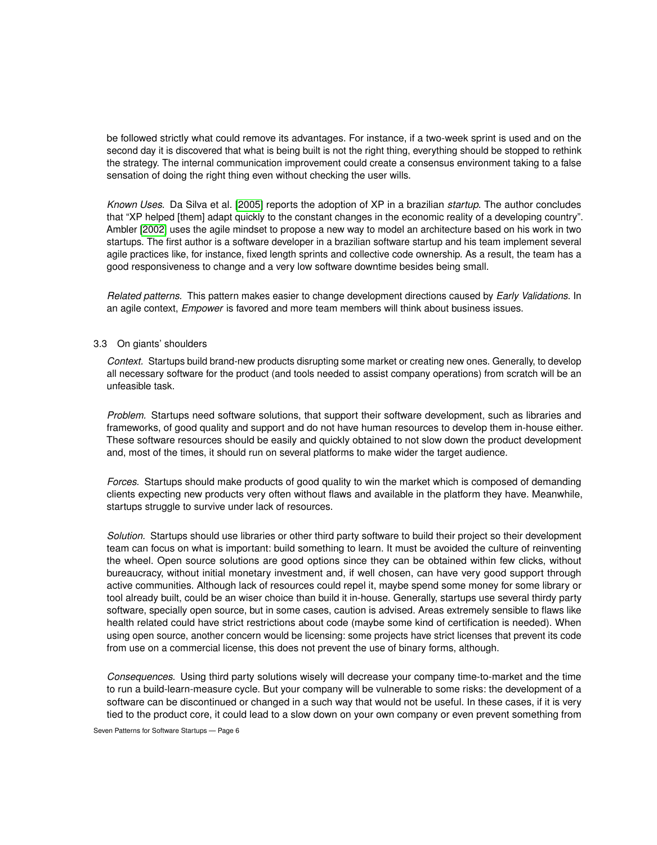be followed strictly what could remove its advantages. For instance, if a two-week sprint is used and on the second day it is discovered that what is being built is not the right thing, everything should be stopped to rethink the strategy. The internal communication improvement could create a consensus environment taking to a false sensation of doing the right thing even without checking the user wills.

*Known Uses.* Da Silva et al. [\[2005\]](#page-10-15) reports the adoption of XP in a brazilian *startup*. The author concludes that "XP helped [them] adapt quickly to the constant changes in the economic reality of a developing country". Ambler [\[2002\]](#page-10-16) uses the agile mindset to propose a new way to model an architecture based on his work in two startups. The first author is a software developer in a brazilian software startup and his team implement several agile practices like, for instance, fixed length sprints and collective code ownership. As a result, the team has a good responsiveness to change and a very low software downtime besides being small.

*Related patterns.* This pattern makes easier to change development directions caused by *Early Validations*. In an agile context, *Empower* is favored and more team members will think about business issues.

## 3.3 On giants' shoulders

*Context.* Startups build brand-new products disrupting some market or creating new ones. Generally, to develop all necessary software for the product (and tools needed to assist company operations) from scratch will be an unfeasible task.

*Problem.* Startups need software solutions, that support their software development, such as libraries and frameworks, of good quality and support and do not have human resources to develop them in-house either. These software resources should be easily and quickly obtained to not slow down the product development and, most of the times, it should run on several platforms to make wider the target audience.

*Forces.* Startups should make products of good quality to win the market which is composed of demanding clients expecting new products very often without flaws and available in the platform they have. Meanwhile, startups struggle to survive under lack of resources.

*Solution.* Startups should use libraries or other third party software to build their project so their development team can focus on what is important: build something to learn. It must be avoided the culture of reinventing the wheel. Open source solutions are good options since they can be obtained within few clicks, without bureaucracy, without initial monetary investment and, if well chosen, can have very good support through active communities. Although lack of resources could repel it, maybe spend some money for some library or tool already built, could be an wiser choice than build it in-house. Generally, startups use several thirdy party software, specially open source, but in some cases, caution is advised. Areas extremely sensible to flaws like health related could have strict restrictions about code (maybe some kind of certification is needed). When using open source, another concern would be licensing: some projects have strict licenses that prevent its code from use on a commercial license, this does not prevent the use of binary forms, although.

*Consequences.* Using third party solutions wisely will decrease your company time-to-market and the time to run a build-learn-measure cycle. But your company will be vulnerable to some risks: the development of a software can be discontinued or changed in a such way that would not be useful. In these cases, if it is very tied to the product core, it could lead to a slow down on your own company or even prevent something from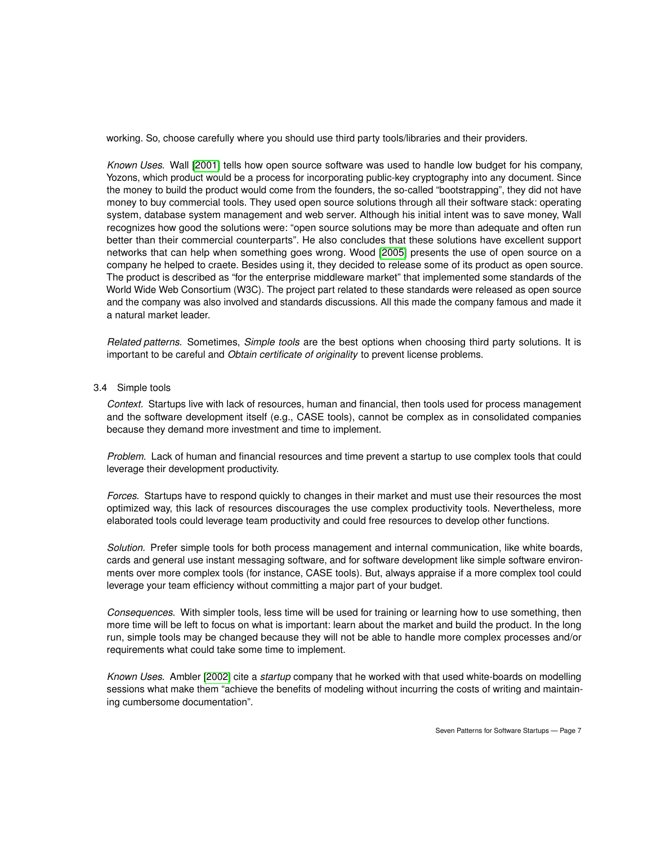working. So, choose carefully where you should use third party tools/libraries and their providers.

*Known Uses.* Wall [\[2001\]](#page-10-17) tells how open source software was used to handle low budget for his company, Yozons, which product would be a process for incorporating public-key cryptography into any document. Since the money to build the product would come from the founders, the so-called "bootstrapping", they did not have money to buy commercial tools. They used open source solutions through all their software stack: operating system, database system management and web server. Although his initial intent was to save money, Wall recognizes how good the solutions were: "open source solutions may be more than adequate and often run better than their commercial counterparts". He also concludes that these solutions have excellent support networks that can help when something goes wrong. Wood [\[2005\]](#page-10-18) presents the use of open source on a company he helped to craete. Besides using it, they decided to release some of its product as open source. The product is described as "for the enterprise middleware market" that implemented some standards of the World Wide Web Consortium (W3C). The project part related to these standards were released as open source and the company was also involved and standards discussions. All this made the company famous and made it a natural market leader.

*Related patterns.* Sometimes, *Simple tools* are the best options when choosing third party solutions. It is important to be careful and *Obtain certificate of originality* to prevent license problems.

## 3.4 Simple tools

*Context.* Startups live with lack of resources, human and financial, then tools used for process management and the software development itself (e.g., CASE tools), cannot be complex as in consolidated companies because they demand more investment and time to implement.

*Problem.* Lack of human and financial resources and time prevent a startup to use complex tools that could leverage their development productivity.

*Forces.* Startups have to respond quickly to changes in their market and must use their resources the most optimized way, this lack of resources discourages the use complex productivity tools. Nevertheless, more elaborated tools could leverage team productivity and could free resources to develop other functions.

*Solution.* Prefer simple tools for both process management and internal communication, like white boards, cards and general use instant messaging software, and for software development like simple software environments over more complex tools (for instance, CASE tools). But, always appraise if a more complex tool could leverage your team efficiency without committing a major part of your budget.

*Consequences.* With simpler tools, less time will be used for training or learning how to use something, then more time will be left to focus on what is important: learn about the market and build the product. In the long run, simple tools may be changed because they will not be able to handle more complex processes and/or requirements what could take some time to implement.

*Known Uses.* Ambler [\[2002\]](#page-10-16) cite a *startup* company that he worked with that used white-boards on modelling sessions what make them "achieve the benefits of modeling without incurring the costs of writing and maintaining cumbersome documentation".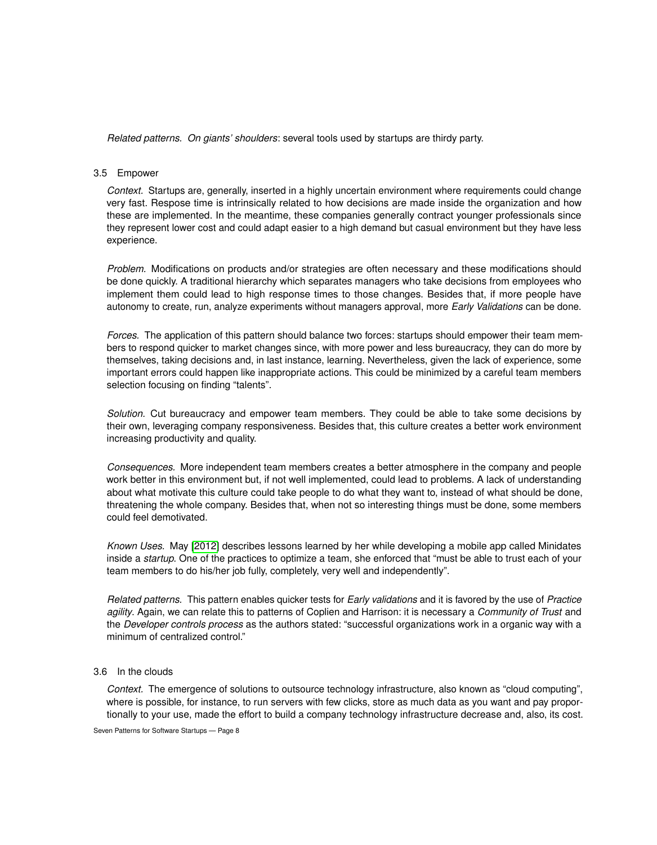*Related patterns. On giants' shoulders*: several tools used by startups are thirdy party.

## 3.5 Empower

*Context.* Startups are, generally, inserted in a highly uncertain environment where requirements could change very fast. Respose time is intrinsically related to how decisions are made inside the organization and how these are implemented. In the meantime, these companies generally contract younger professionals since they represent lower cost and could adapt easier to a high demand but casual environment but they have less experience.

*Problem.* Modifications on products and/or strategies are often necessary and these modifications should be done quickly. A traditional hierarchy which separates managers who take decisions from employees who implement them could lead to high response times to those changes. Besides that, if more people have autonomy to create, run, analyze experiments without managers approval, more *Early Validations* can be done.

*Forces.* The application of this pattern should balance two forces: startups should empower their team members to respond quicker to market changes since, with more power and less bureaucracy, they can do more by themselves, taking decisions and, in last instance, learning. Nevertheless, given the lack of experience, some important errors could happen like inappropriate actions. This could be minimized by a careful team members selection focusing on finding "talents".

*Solution.* Cut bureaucracy and empower team members. They could be able to take some decisions by their own, leveraging company responsiveness. Besides that, this culture creates a better work environment increasing productivity and quality.

*Consequences.* More independent team members creates a better atmosphere in the company and people work better in this environment but, if not well implemented, could lead to problems. A lack of understanding about what motivate this culture could take people to do what they want to, instead of what should be done, threatening the whole company. Besides that, when not so interesting things must be done, some members could feel demotivated.

*Known Uses.* May [\[2012\]](#page-10-19) describes lessons learned by her while developing a mobile app called Minidates inside a *startup*. One of the practices to optimize a team, she enforced that "must be able to trust each of your team members to do his/her job fully, completely, very well and independently".

*Related patterns.* This pattern enables quicker tests for *Early validations* and it is favored by the use of *Practice agility*. Again, we can relate this to patterns of Coplien and Harrison: it is necessary a *Community of Trust* and the *Developer controls process* as the authors stated: "successful organizations work in a organic way with a minimum of centralized control."

# 3.6 In the clouds

*Context.* The emergence of solutions to outsource technology infrastructure, also known as "cloud computing", where is possible, for instance, to run servers with few clicks, store as much data as you want and pay proportionally to your use, made the effort to build a company technology infrastructure decrease and, also, its cost.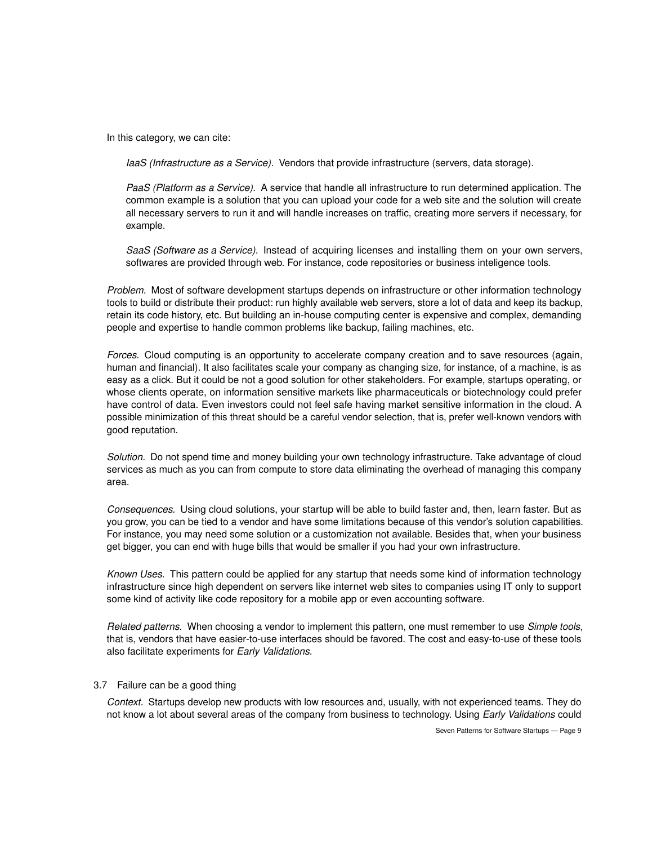In this category, we can cite:

*IaaS (Infrastructure as a Service).* Vendors that provide infrastructure (servers, data storage).

*PaaS (Platform as a Service).* A service that handle all infrastructure to run determined application. The common example is a solution that you can upload your code for a web site and the solution will create all necessary servers to run it and will handle increases on traffic, creating more servers if necessary, for example.

*SaaS (Software as a Service).* Instead of acquiring licenses and installing them on your own servers, softwares are provided through web. For instance, code repositories or business inteligence tools.

*Problem.* Most of software development startups depends on infrastructure or other information technology tools to build or distribute their product: run highly available web servers, store a lot of data and keep its backup, retain its code history, etc. But building an in-house computing center is expensive and complex, demanding people and expertise to handle common problems like backup, failing machines, etc.

*Forces.* Cloud computing is an opportunity to accelerate company creation and to save resources (again, human and financial). It also facilitates scale your company as changing size, for instance, of a machine, is as easy as a click. But it could be not a good solution for other stakeholders. For example, startups operating, or whose clients operate, on information sensitive markets like pharmaceuticals or biotechnology could prefer have control of data. Even investors could not feel safe having market sensitive information in the cloud. A possible minimization of this threat should be a careful vendor selection, that is, prefer well-known vendors with good reputation.

*Solution.* Do not spend time and money building your own technology infrastructure. Take advantage of cloud services as much as you can from compute to store data eliminating the overhead of managing this company area.

*Consequences.* Using cloud solutions, your startup will be able to build faster and, then, learn faster. But as you grow, you can be tied to a vendor and have some limitations because of this vendor's solution capabilities. For instance, you may need some solution or a customization not available. Besides that, when your business get bigger, you can end with huge bills that would be smaller if you had your own infrastructure.

*Known Uses.* This pattern could be applied for any startup that needs some kind of information technology infrastructure since high dependent on servers like internet web sites to companies using IT only to support some kind of activity like code repository for a mobile app or even accounting software.

*Related patterns.* When choosing a vendor to implement this pattern, one must remember to use *Simple tools*, that is, vendors that have easier-to-use interfaces should be favored. The cost and easy-to-use of these tools also facilitate experiments for *Early Validations*.

#### 3.7 Failure can be a good thing

*Context.* Startups develop new products with low resources and, usually, with not experienced teams. They do not know a lot about several areas of the company from business to technology. Using *Early Validations* could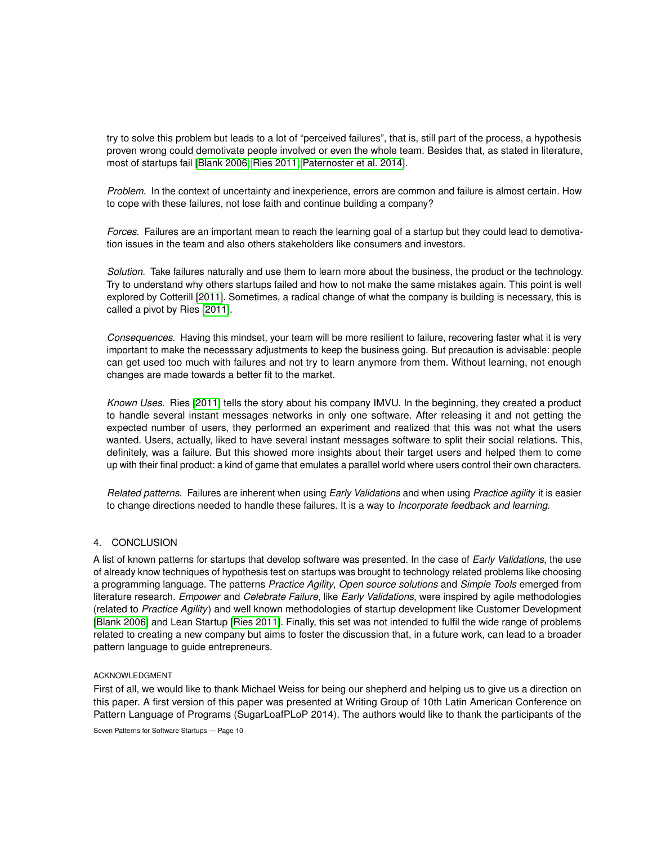try to solve this problem but leads to a lot of "perceived failures", that is, still part of the process, a hypothesis proven wrong could demotivate people involved or even the whole team. Besides that, as stated in literature, most of startups fail [\[Blank 2006;](#page-10-0) [Ries 2011;](#page-10-1) [Paternoster et al. 2014\]](#page-10-20).

*Problem.* In the context of uncertainty and inexperience, errors are common and failure is almost certain. How to cope with these failures, not lose faith and continue building a company?

*Forces.* Failures are an important mean to reach the learning goal of a startup but they could lead to demotivation issues in the team and also others stakeholders like consumers and investors.

*Solution.* Take failures naturally and use them to learn more about the business, the product or the technology. Try to understand why others startups failed and how to not make the same mistakes again. This point is well explored by Cotterill [\[2011\]](#page-10-21). Sometimes, a radical change of what the company is building is necessary, this is called a pivot by Ries [\[2011\]](#page-10-1).

*Consequences.* Having this mindset, your team will be more resilient to failure, recovering faster what it is very important to make the necesssary adjustments to keep the business going. But precaution is advisable: people can get used too much with failures and not try to learn anymore from them. Without learning, not enough changes are made towards a better fit to the market.

*Known Uses.* Ries [\[2011\]](#page-10-1) tells the story about his company IMVU. In the beginning, they created a product to handle several instant messages networks in only one software. After releasing it and not getting the expected number of users, they performed an experiment and realized that this was not what the users wanted. Users, actually, liked to have several instant messages software to split their social relations. This, definitely, was a failure. But this showed more insights about their target users and helped them to come up with their final product: a kind of game that emulates a parallel world where users control their own characters.

*Related patterns.* Failures are inherent when using *Early Validations* and when using *Practice agility* it is easier to change directions needed to handle these failures. It is a way to *Incorporate feedback and learning*.

## 4. CONCLUSION

A list of known patterns for startups that develop software was presented. In the case of *Early Validations*, the use of already know techniques of hypothesis test on startups was brought to technology related problems like choosing a programming language. The patterns *Practice Agility*, *Open source solutions* and *Simple Tools* emerged from literature research. *Empower* and *Celebrate Failure*, like *Early Validations*, were inspired by agile methodologies (related to *Practice Agility*) and well known methodologies of startup development like Customer Development [\[Blank 2006\]](#page-10-0) and Lean Startup [\[Ries 2011\]](#page-10-1). Finally, this set was not intended to fulfil the wide range of problems related to creating a new company but aims to foster the discussion that, in a future work, can lead to a broader pattern language to guide entrepreneurs.

#### ACKNOWLEDGMENT

First of all, we would like to thank Michael Weiss for being our shepherd and helping us to give us a direction on this paper. A first version of this paper was presented at Writing Group of 10th Latin American Conference on Pattern Language of Programs (SugarLoafPLoP 2014). The authors would like to thank the participants of the